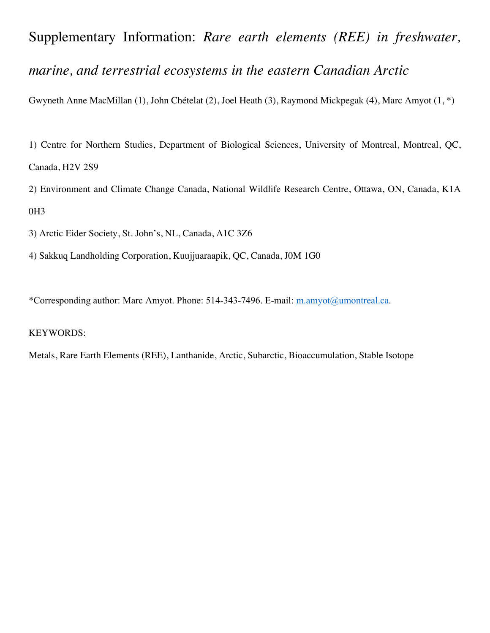## Supplementary Information: *Rare earth elements (REE) in freshwater, marine, and terrestrial ecosystems in the eastern Canadian Arctic*

Gwyneth Anne MacMillan (1), John Chételat (2), Joel Heath (3), Raymond Mickpegak (4), Marc Amyot (1, \*)

1) Centre for Northern Studies, Department of Biological Sciences, University of Montreal, Montreal, QC, Canada, H2V 2S9

2) Environment and Climate Change Canada, National Wildlife Research Centre, Ottawa, ON, Canada, K1A 0H3

3) Arctic Eider Society, St. John's, NL, Canada, A1C 3Z6

4) Sakkuq Landholding Corporation, Kuujjuaraapik, QC, Canada, J0M 1G0

\*Corresponding author: Marc Amyot. Phone: 514-343-7496. E-mail: m.amyot@umontreal.ca.

## KEYWORDS:

Metals, Rare Earth Elements (REE), Lanthanide, Arctic, Subarctic, Bioaccumulation, Stable Isotope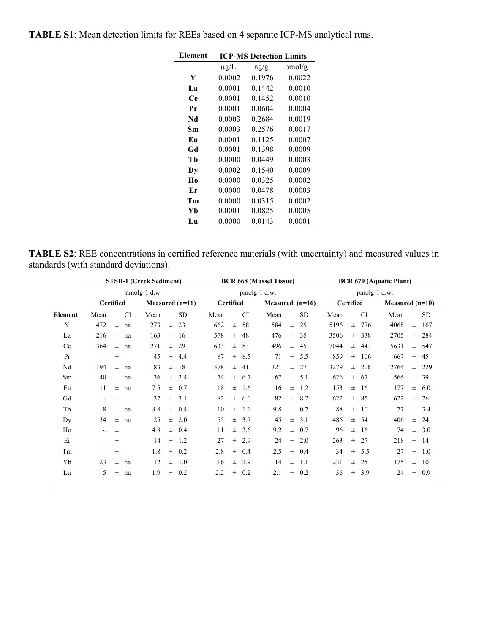| Element        |           | <b>ICP-MS Detection Limits</b> |        |
|----------------|-----------|--------------------------------|--------|
|                | $\mu$ g/L | ng/g                           | nmol/g |
| Y              | 0.0002    | 0.1976                         | 0.0022 |
| La             | 0.0001    | 0.1442                         | 0.0010 |
| Cе             | 0.0001    | 0.1452                         | 0.0010 |
| Pr             | 0.0001    | 0.0604                         | 0.0004 |
| Nd             | 0.0003    | 0.2684                         | 0.0019 |
| Sm             | 0.0003    | 0.2576                         | 0.0017 |
| Eп             | 0.0001    | 0.1125                         | 0.0007 |
| Gd             | 0.0001    | 0.1398                         | 0.0009 |
| Тh             | 0.0000    | 0.0449                         | 0.0003 |
| Dy             | 0.0002    | 0.1540                         | 0.0009 |
| H <sub>0</sub> | 0.0000    | 0.0325                         | 0.0002 |
| Er             | 0.0000    | 0.0478                         | 0.0003 |
| Тm             | 0.0000    | 0.0315                         | 0.0002 |
| Yb             | 0.0001    | 0.0825                         | 0.0005 |
| Lu             | 0.0000    | 0.0143                         | 0.0001 |

**TABLE S1**: Mean detection limits for REEs based on 4 separate ICP-MS analytical runs.

**TABLE S2**: REE concentrations in certified reference materials (with uncertainty) and measured values in standards (with standard deviations).

|         |           |             | <b>STSD-1 (Creek Sediment)</b> |       |           |                  |       | <b>BCR 668 (Mussel Tissue)</b> |                   |       | <b>BCR 670 (Aquatic Plant)</b> |                  |              |           |                   |       |           |  |
|---------|-----------|-------------|--------------------------------|-------|-----------|------------------|-------|--------------------------------|-------------------|-------|--------------------------------|------------------|--------------|-----------|-------------------|-------|-----------|--|
|         |           |             | $nmolg-1$ d.w.                 |       |           | pmolg-1 d.w.     |       |                                |                   |       |                                |                  | pmolg-1 d.w. |           |                   |       |           |  |
|         | Certified |             | Measured $(n=16)$              |       |           | <b>Certified</b> |       |                                | Measured $(n=16)$ |       |                                | <b>Certified</b> |              |           | Measured $(n=10)$ |       |           |  |
| Element | Mean      | <b>CI</b>   | Mean                           |       | <b>SD</b> | Mean             |       | <b>CI</b>                      | Mean              |       | <b>SD</b>                      | Mean             |              | <b>CI</b> | Mean              |       | SD.       |  |
| Y       | 472       | $\pm$<br>na | 273                            | $\pm$ | 23        | 662              | $\pm$ | 58                             | 584               | $\pm$ | 25                             | 5196             | $\pm$        | 776       | 4068              | $\pm$ | 167       |  |
| La      | 216       | $\pm$<br>na | 163                            | $\pm$ | 16        | 578              | $\pm$ | 48                             | 476               | $\pm$ | 35                             | 3506             | $\pm$        | 338       | 2705              | $\pm$ | 284       |  |
| Ce      | 364       | $\pm$<br>na | 271                            | $\pm$ | 29        | 633              | $\pm$ | 83                             | 496               | $\pm$ | 45                             | 7044             | $\pm$        | 443       | 5631              | $\pm$ | 547       |  |
| Pr      | $\sim$    | $\pm$       | 45                             | $\pm$ | 4.4       | 87               | $\pm$ | 8.5                            | 71                | $\pm$ | 5.5                            | 859              | $\pm$        | 106       | 667               | $\pm$ | 45        |  |
| Nd      | 194       | $\pm$<br>na | 183                            | $\pm$ | 18        | 378              | $\pm$ | 41                             | 321               | $\pm$ | 27                             | 3279             | $\pm$        | 208       | 2764              | $\pm$ | 229       |  |
| Sm      | 40        | $\pm$<br>na | 36                             | $\pm$ | 3.4       | 74               | $\pm$ | 6.7                            | 67                | $\pm$ | 5.1                            | 626              | $\pm$        | 67        | 566               | $\pm$ | 39        |  |
| Eu      | 11        | $\pm$<br>na | 7.5                            | $\pm$ | 0.7       | 18               | $\pm$ | 1.6                            | 16                | $\pm$ | 1.2                            | 153              | $\pm$        | -16       | 177               |       | $\pm$ 6.0 |  |
| Gd      | $\sim$    | $\pm$       | 37                             | $\pm$ | 3.1       | 82               | $\pm$ | 6.0                            | 82                | $\pm$ | 8.2                            | 622              | $\pm$        | -85       | 622               | $\pm$ | -26       |  |
| Tb      | 8         | $\pm$<br>na | 4.8                            | $\pm$ | 0.4       | 10               | $\pm$ | 1.1                            | 9.8               | $\pm$ | 0.7                            | 88               | $\pm$        | 10        | 77                | $\pm$ | 3.4       |  |
| Dy      | 34        | $\pm$<br>na | 25                             | $\pm$ | 2.0       | 55               | $\pm$ | 3.7                            | 45                | $\pm$ | 3.1                            | 486              |              | $\pm$ 54  | 406               | $\pm$ | -24       |  |
| Ho      | $\sim$    | $\pm$       | 4.8                            | $\pm$ | 0.4       | 11               | $\pm$ | 3.6                            | 9.2               | $\pm$ | 0.7                            | 96               | $\pm$        | -16       | 74                | $\pm$ | 3.0       |  |
| Er      | $\sim$    | $\pm$       | 14                             | $\pm$ | 1.2       | 27               | $\pm$ | 2.9                            | 24                | $\pm$ | 2.0                            | 263              | $\pm$        | 27        | 218               | $\pm$ | -14       |  |
| Tm      |           | $\pm$       | 1.8                            | $\pm$ | 0.2       | 2.8              | $\pm$ | 0.4                            | 2.5               | $\pm$ | 0.4                            | 34               | $\pm$        | 5.5       | 27                | $\pm$ | 1.0       |  |
| Yb      | 23        | $\pm$<br>na | 12                             | $\pm$ | 1.0       | 16               | $\pm$ | 2.9                            | 14                | $\pm$ | 1.1                            | 231              | $\pm$        | 25        | 175               | $\pm$ | 10        |  |
| Lu      | 5         | $\pm$<br>na | 1.9                            | $\pm$ | 0.2       | 2.2              | $\pm$ | 0.2                            | 2.1               | $\pm$ | 0.2                            | 36               | $\pm$        | 3.9       | 24                | $\pm$ | 0.9       |  |
|         |           |             |                                |       |           |                  |       |                                |                   |       |                                |                  |              |           |                   |       |           |  |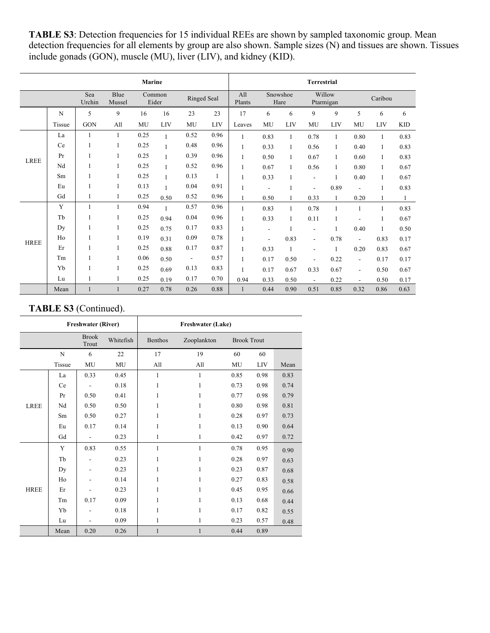TABLE S3: Detection frequencies for 15 individual REEs are shown by sampled taxonomic group. Mean detection frequencies for all elements by group are also shown. Sample sizes (N) and tissues are shown. Tissues include gonads (GON), muscle (MU), liver (LIV), and kidney (KID).

| <b>Marine</b> |        |               |                |      |                 |                          |              | <b>Terrestrial</b> |                          |              |                          |                     |                          |              |            |  |
|---------------|--------|---------------|----------------|------|-----------------|--------------------------|--------------|--------------------|--------------------------|--------------|--------------------------|---------------------|--------------------------|--------------|------------|--|
|               |        | Sea<br>Urchin | Blue<br>Mussel |      | Common<br>Eider | Ringed Seal              |              | All<br>Plants      | Snowshoe<br>Hare         |              |                          | Willow<br>Ptarmigan | Caribou                  |              |            |  |
|               | N      | 5             | 9              | 16   | 16              | 23                       | 23           |                    | 6                        | 6            | 9                        | 9                   | 5                        | 6            | 6          |  |
|               | Tissue | GON           | All            | MU   | LIV             | MU                       | LIV          | Leaves             | MU                       | LIV          | MU                       | LIV                 | MU                       | LIV          | <b>KID</b> |  |
|               | La     | 1             | 1              | 0.25 |                 | 0.52                     | 0.96         | 1                  | 0.83                     | $\mathbf{1}$ | 0.78                     | 1                   | 0.80                     | $\mathbf{1}$ | 0.83       |  |
|               | Ce     |               |                | 0.25 | $\mathbf{1}$    | 0.48                     | 0.96         | $\mathbf{1}$       | 0.33                     | $\mathbf{1}$ | 0.56                     | $\mathbf{1}$        | 0.40                     | $\mathbf{1}$ | 0.83       |  |
| <b>LREE</b>   | Pr     | 1             | 1              | 0.25 | $\mathbf{1}$    | 0.39                     | 0.96         | $\mathbf{1}$       | 0.50                     | $\mathbf{1}$ | 0.67                     | 1                   | 0.60                     | 1            | 0.83       |  |
|               | Nd     |               | 1              | 0.25 |                 | 0.52                     | 0.96         | $\mathbf{1}$       | 0.67                     | 1            | 0.56                     | $\mathbf{1}$        | 0.80                     | 1            | 0.67       |  |
|               | Sm     | $\mathbf{1}$  | $\mathbf{1}$   | 0.25 | $\mathbf{1}$    | 0.13                     | $\mathbf{1}$ | $\mathbf{1}$       | 0.33                     | 1            | $\overline{\phantom{a}}$ | 1                   | 0.40                     | 1            | 0.67       |  |
|               | Eu     |               |                | 0.13 | $\mathbf{1}$    | 0.04                     | 0.91         | $\mathbf{1}$       | $\overline{\phantom{a}}$ | 1            | ۰                        | 0.89                | $\overline{\phantom{a}}$ |              | 0.83       |  |
|               | Gd     | 1             | 1              | 0.25 | 0.50            | 0.52                     | 0.96         | 1                  | 0.50                     |              | 0.33                     | 1                   | 0.20                     |              | 1          |  |
|               | Y      | $\mathbf{1}$  | $\mathbf{1}$   | 0.94 | $\mathbf{1}$    | 0.57                     | 0.96         | $\mathbf{1}$       | 0.83                     | 1            | 0.78                     | 1                   | 1                        |              | 0.83       |  |
|               | Tb     |               |                | 0.25 | 0.94            | 0.04                     | 0.96         | 1                  | 0.33                     | 1            | 0.11                     | $\mathbf{1}$        |                          |              | 0.67       |  |
|               | Dy     |               |                | 0.25 | 0.75            | 0.17                     | 0.83         | $\mathbf{1}$       | $\overline{a}$           | 1            | $\overline{\phantom{a}}$ | $\mathbf{1}$        | 0.40                     | 1            | 0.50       |  |
| <b>HREE</b>   | Ho     | 1             | 1              | 0.19 | 0.31            | 0.09                     | 0.78         | $\mathbf{1}$       | $\blacksquare$           | 0.83         | $\blacksquare$           | 0.78                | $\overline{\phantom{a}}$ | 0.83         | 0.17       |  |
|               | Er     |               |                | 0.25 | 0.88            | 0.17                     | 0.87         | $\mathbf{1}$       | 0.33                     | $\mathbf{1}$ | $\overline{\phantom{a}}$ | 1                   | 0.20                     | 0.83         | 0.67       |  |
|               | Tm     |               | 1              | 0.06 | 0.50            | $\overline{\phantom{a}}$ | 0.57         | $\mathbf{1}$       | 0.17                     | 0.50         | $\overline{\phantom{a}}$ | 0.22                | $\overline{\phantom{a}}$ | 0.17         | 0.17       |  |
|               | Yb     |               | 1              | 0.25 | 0.69            | 0.13                     | 0.83         | $\mathbf{1}$       | 0.17                     | 0.67         | 0.33                     | 0.67                | $\overline{\phantom{a}}$ | 0.50         | 0.67       |  |
|               | Lu     | 1             | 1              | 0.25 | 0.19            | 0.17                     | 0.70         | 0.94               | 0.33                     | 0.50         | $\blacksquare$           | 0.22                | $\blacksquare$           | 0.50         | 0.17       |  |
|               | Mean   | $\mathbf{1}$  |                | 0.27 | 0.78            | 0.26                     | 0.88         | 1                  | 0.44                     | 0.90         | 0.51                     | 0.85                | 0.32                     | 0.86         | 0.63       |  |

## **TABLE S3** (Continued).

|             |             | <b>Freshwater (River)</b> |           | <b>Freshwater (Lake)</b> |              |                    |      |      |  |  |  |  |
|-------------|-------------|---------------------------|-----------|--------------------------|--------------|--------------------|------|------|--|--|--|--|
|             |             | <b>Brook</b><br>Trout     | Whitefish | Benthos                  | Zooplankton  | <b>Brook Trout</b> |      |      |  |  |  |  |
|             | $\mathbf N$ | 6                         | 22        | 17                       | 19           | 60                 | 60   |      |  |  |  |  |
|             | Tissue      | MU                        | MU        | All                      | All          | MU                 | LIV  | Mean |  |  |  |  |
|             | La          | 0.33                      | 0.45      | 1                        | 1            | 0.85               | 0.98 | 0.83 |  |  |  |  |
|             | Ce          |                           | 0.18      | 1                        | 1            | 0.73               | 0.98 | 0.74 |  |  |  |  |
|             | Pr          | 0.50                      | 0.41      | 1                        | 1            | 0.77               | 0.98 | 0.79 |  |  |  |  |
| <b>LREE</b> | Nd          | 0.50                      | 0.50      | 1                        | 1            | 0.80               | 0.98 | 0.81 |  |  |  |  |
|             | Sm          | 0.50                      | 0.27      | 1                        | 1            | 0.28               | 0.97 | 0.73 |  |  |  |  |
|             | Eu          | 0.17                      | 0.14      | 1                        | 1            | 0.13               | 0.90 | 0.64 |  |  |  |  |
|             | Gd          |                           | 0.23      | 1                        | 1            | 0.42               | 0.97 | 0.72 |  |  |  |  |
|             | Y           | 0.83                      | 0.55      | 1                        | 1            | 0.78               | 0.95 | 0.90 |  |  |  |  |
|             | Tb          |                           | 0.23      | 1                        | 1            | 0.28               | 0.97 | 0.63 |  |  |  |  |
|             | Dy          |                           | 0.23      | 1                        | 1            | 0.23               | 0.87 | 0.68 |  |  |  |  |
|             | Ho          |                           | 0.14      | 1                        | 1            | 0.27               | 0.83 | 0.58 |  |  |  |  |
| <b>HREE</b> | Er          |                           | 0.23      | 1                        | 1            | 0.45               | 0.95 | 0.66 |  |  |  |  |
|             | Tm          | 0.17                      | 0.09      | 1                        | 1            | 0.13               | 0.68 | 0.44 |  |  |  |  |
|             | Yb          |                           | 0.18      | 1                        | 1            | 0.17               | 0.82 | 0.55 |  |  |  |  |
|             | Lu          |                           | 0.09      | 1                        | 1            | 0.23               | 0.57 | 0.48 |  |  |  |  |
|             | Mean        | 0.20                      | 0.26      | $\mathbf{1}$             | $\mathbf{1}$ | 0.44               | 0.89 |      |  |  |  |  |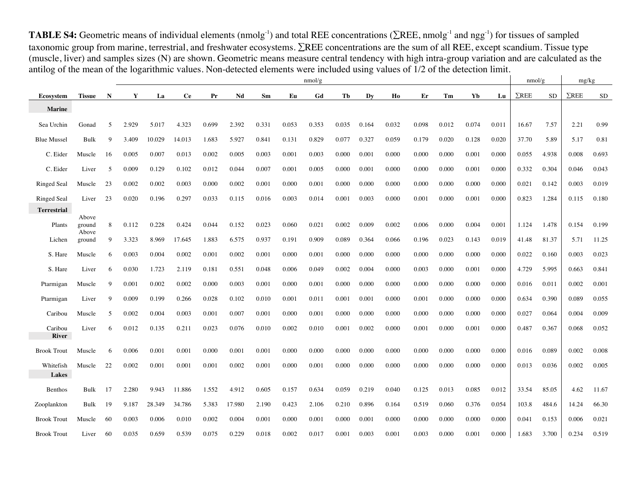**TABLE S4:** Geometric means of individual elements (nmolg<sup>-1</sup>) and total REE concentrations ( $\Sigma$ REE, nmolg<sup>-1</sup> and ngg<sup>-1</sup>) for tissues of sampled taxonomic group from marine, terrestrial, and freshwater ecosystems.  $\Sigma$ REE concentrations are the sum of all REE, except scandium. Tissue type (muscle, liver) and samples sizes (N) are shown. Geometric means measure central tendency with high intra-group variation and are calculated as the antilog of the mean of the logarithmic values. Non-detected elements were included using values of 1/2 of the detection limit.

|                         |                 |    | nmol/g |        |           |       |        |       |       |       |       |       |       |       |       |       | nmol/g | mg/kg        |           |              |           |
|-------------------------|-----------------|----|--------|--------|-----------|-------|--------|-------|-------|-------|-------|-------|-------|-------|-------|-------|--------|--------------|-----------|--------------|-----------|
| Ecosvstem               | <b>Tissue</b>   | N  | Y      | La     | <b>Ce</b> | Pr    | Nd     | Sm    | Eu    | Gd    | Tb    | Dv    | Ho    | Er    | Tm    | Yb    | Lu     | $\Sigma$ REE | <b>SD</b> | $\Sigma$ REE | <b>SD</b> |
| <b>Marine</b>           |                 |    |        |        |           |       |        |       |       |       |       |       |       |       |       |       |        |              |           |              |           |
| Sea Urchin              | Gonad           | 5  | 2.929  | 5.017  | 4.323     | 0.699 | 2.392  | 0.331 | 0.053 | 0.353 | 0.035 | 0.164 | 0.032 | 0.098 | 0.012 | 0.074 | 0.011  | 16.67        | 7.57      | 2.21         | 0.99      |
|                         |                 |    |        |        |           |       |        |       |       |       |       |       |       |       |       |       |        |              |           |              |           |
| <b>Blue Mussel</b>      | Bulk            | 9  | 3.409  | 10.029 | 14.013    | 1.683 | 5.927  | 0.841 | 0.131 | 0.829 | 0.077 | 0.327 | 0.059 | 0.179 | 0.020 | 0.128 | 0.020  | 37.70        | 5.89      | 5.17         | 0.81      |
| C. Eider                | Muscle          | 16 | 0.005  | 0.007  | 0.013     | 0.002 | 0.005  | 0.003 | 0.001 | 0.003 | 0.000 | 0.001 | 0.000 | 0.000 | 0.000 | 0.001 | 0.000  | 0.055        | 4.938     | 0.008        | 0.693     |
| C. Eider                | Liver           | .5 | 0.009  | 0.129  | 0.102     | 0.012 | 0.044  | 0.007 | 0.001 | 0.005 | 0.000 | 0.001 | 0.000 | 0.000 | 0.000 | 0.001 | 0.000  | 0.332        | 0.304     | 0.046        | 0.043     |
| <b>Ringed Seal</b>      | Muscle          | 23 | 0.002  | 0.002  | 0.003     | 0.000 | 0.002  | 0.001 | 0.000 | 0.001 | 0.000 | 0.000 | 0.000 | 0.000 | 0.000 | 0.000 | 0.000  | 0.021        | 0.142     | 0.003        | 0.019     |
| <b>Ringed Seal</b>      | Liver           | 23 | 0.020  | 0.196  | 0.297     | 0.033 | 0.115  | 0.016 | 0.003 | 0.014 | 0.001 | 0.003 | 0.000 | 0.001 | 0.000 | 0.001 | 0.000  | 0.823        | 1.284     | 0.115        | 0.180     |
| <b>Terrestrial</b>      |                 |    |        |        |           |       |        |       |       |       |       |       |       |       |       |       |        |              |           |              |           |
| Plants                  | Above<br>ground | 8  | 0.112  | 0.228  | 0.424     | 0.044 | 0.152  | 0.023 | 0.060 | 0.021 | 0.002 | 0.009 | 0.002 | 0.006 | 0.000 | 0.004 | 0.001  | 1.124        | 1.478     | 0.154        | 0.199     |
| Lichen                  | Above<br>ground | 9  | 3.323  | 8.969  | 17.645    | 1.883 | 6.575  | 0.937 | 0.191 | 0.909 | 0.089 | 0.364 | 0.066 | 0.196 | 0.023 | 0.143 | 0.019  | 41.48        | 81.37     | 5.71         | 11.25     |
| S. Hare                 | Muscle          | 6  | 0.003  | 0.004  | 0.002     | 0.001 | 0.002  | 0.001 | 0.000 | 0.001 | 0.000 | 0.000 | 0.000 | 0.000 | 0.000 | 0.000 | 0.000  | 0.022        | 0.160     | 0.003        | 0.023     |
|                         |                 |    |        |        |           |       |        |       |       |       |       |       |       |       |       |       |        |              |           |              |           |
| S. Hare                 | Liver           | 6  | 0.030  | 1.723  | 2.119     | 0.181 | 0.551  | 0.048 | 0.006 | 0.049 | 0.002 | 0.004 | 0.000 | 0.003 | 0.000 | 0.001 | 0.000  | 4.729        | 5.995     | 0.663        | 0.841     |
| Ptarmigan               | Muscle          | 9  | 0.001  | 0.002  | 0.002     | 0.000 | 0.003  | 0.001 | 0.000 | 0.001 | 0.000 | 0.000 | 0.000 | 0.000 | 0.000 | 0.000 | 0.000  | 0.016        | 0.011     | 0.002        | 0.001     |
| Ptarmigan               | Liver           | 9  | 0.009  | 0.199  | 0.266     | 0.028 | 0.102  | 0.010 | 0.001 | 0.011 | 0.001 | 0.001 | 0.000 | 0.001 | 0.000 | 0.000 | 0.000  | 0.634        | 0.390     | 0.089        | 0.055     |
| Caribou                 | Muscle          | 5  | 0.002  | 0.004  | 0.003     | 0.001 | 0.007  | 0.001 | 0.000 | 0.001 | 0.000 | 0.000 | 0.000 | 0.000 | 0.000 | 0.000 | 0.000  | 0.027        | 0.064     | 0.004        | 0.009     |
| Caribou<br><b>River</b> | Liver           | 6  | 0.012  | 0.135  | 0.211     | 0.023 | 0.076  | 0.010 | 0.002 | 0.010 | 0.001 | 0.002 | 0.000 | 0.001 | 0.000 | 0.001 | 0.000  | 0.487        | 0.367     | 0.068        | 0.052     |
|                         |                 |    |        |        |           |       |        |       |       |       |       |       |       |       |       |       |        |              |           |              |           |
| <b>Brook Trout</b>      | Muscle          | 6  | 0.006  | 0.001  | 0.001     | 0.000 | 0.001  | 0.001 | 0.000 | 0.000 | 0.000 | 0.000 | 0.000 | 0.000 | 0.000 | 0.000 | 0.000  | 0.016        | 0.089     | 0.002        | 0.008     |
| Whitefish               | Muscle          | 22 | 0.002  | 0.001  | 0.001     | 0.001 | 0.002  | 0.001 | 0.000 | 0.001 | 0.000 | 0.000 | 0.000 | 0.000 | 0.000 | 0.000 | 0.000  | 0.013        | 0.036     | 0.002        | 0.005     |
| Lakes                   |                 |    |        |        |           |       |        |       |       |       |       |       |       |       |       |       |        |              |           |              |           |
| <b>Benthos</b>          | Bulk            | 17 | 2.280  | 9.943  | 11.886    | 1.552 | 4.912  | 0.605 | 0.157 | 0.634 | 0.059 | 0.219 | 0.040 | 0.125 | 0.013 | 0.085 | 0.012  | 33.54        | 85.05     | 4.62         | 11.67     |
| Zooplankton             | Bulk            | 19 | 9.187  | 28.349 | 34.786    | 5.383 | 17.980 | 2.190 | 0.423 | 2.106 | 0.210 | 0.896 | 0.164 | 0.519 | 0.060 | 0.376 | 0.054  | 103.8        | 484.6     | 14.24        | 66.30     |
| <b>Brook Trout</b>      | Muscle          | 60 | 0.003  | 0.006  | 0.010     | 0.002 | 0.004  | 0.001 | 0.000 | 0.001 | 0.000 | 0.001 | 0.000 | 0.000 | 0.000 | 0.000 | 0.000  | 0.041        | 0.153     | 0.006        | 0.021     |
| <b>Brook Trout</b>      | Liver           | 60 | 0.035  | 0.659  | 0.539     | 0.075 | 0.229  | 0.018 | 0.002 | 0.017 | 0.001 | 0.003 | 0.001 | 0.003 | 0.000 | 0.001 | 0.000  | 1.683        | 3.700     | 0.234        | 0.519     |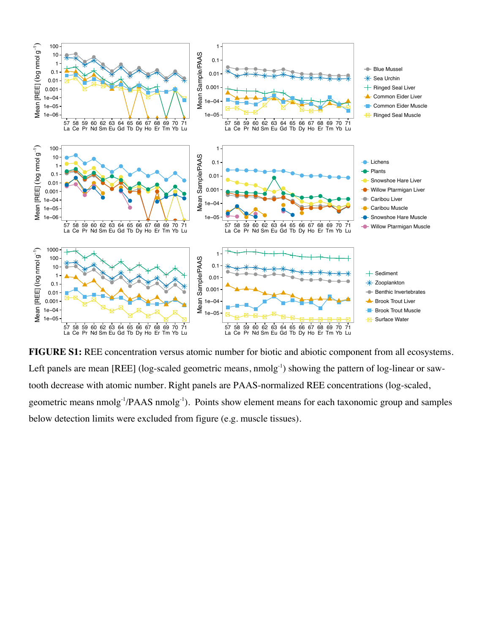

**FIGURE S1:** REE concentration versus atomic number for biotic and abiotic component from all ecosystems. Left panels are mean [REE] (log-scaled geometric means, nmolg<sup>-1</sup>) showing the pattern of log-linear or sawtooth decrease with atomic number. Right panels are PAAS-normalized REE concentrations (log-scaled, geometric means nmolg<sup>-1</sup>/PAAS nmolg<sup>-1</sup>). Points show element means for each taxonomic group and samples below detection limits were excluded from figure (e.g. muscle tissues).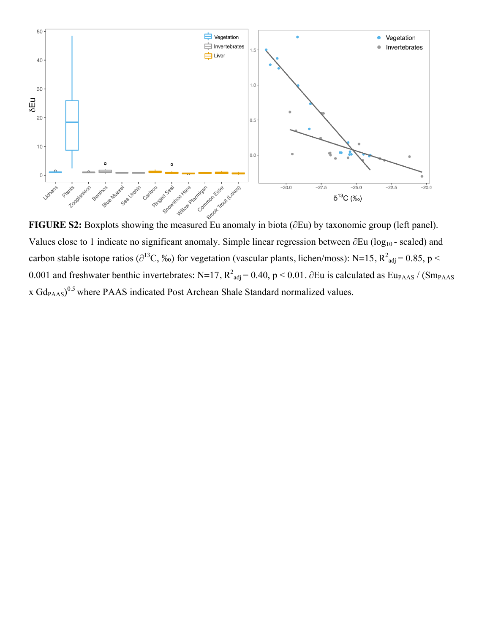

Values close to 1 indicate no significant anomaly. Simple linear regression between ∂Eu (log<sub>10</sub> - scaled) and carbon stable isotope ratios ( $\partial^{13}C$ , ‰) for vegetation (vascular plants, lichen/moss): N=15, R<sup>2</sup><sub>adj</sub> = 0.85, p < 0.001 and freshwater benthic invertebrates: N=17,  $R^2_{adj}$  = 0.40, p < 0.01. ∂Eu is calculated as Eu<sub>PAAS</sub> / (Sm<sub>PAAS</sub> x  $Gd_{PAMS}$ )<sup>0.5</sup> where PAAS indicated Post Archean Shale Standard normalized values.